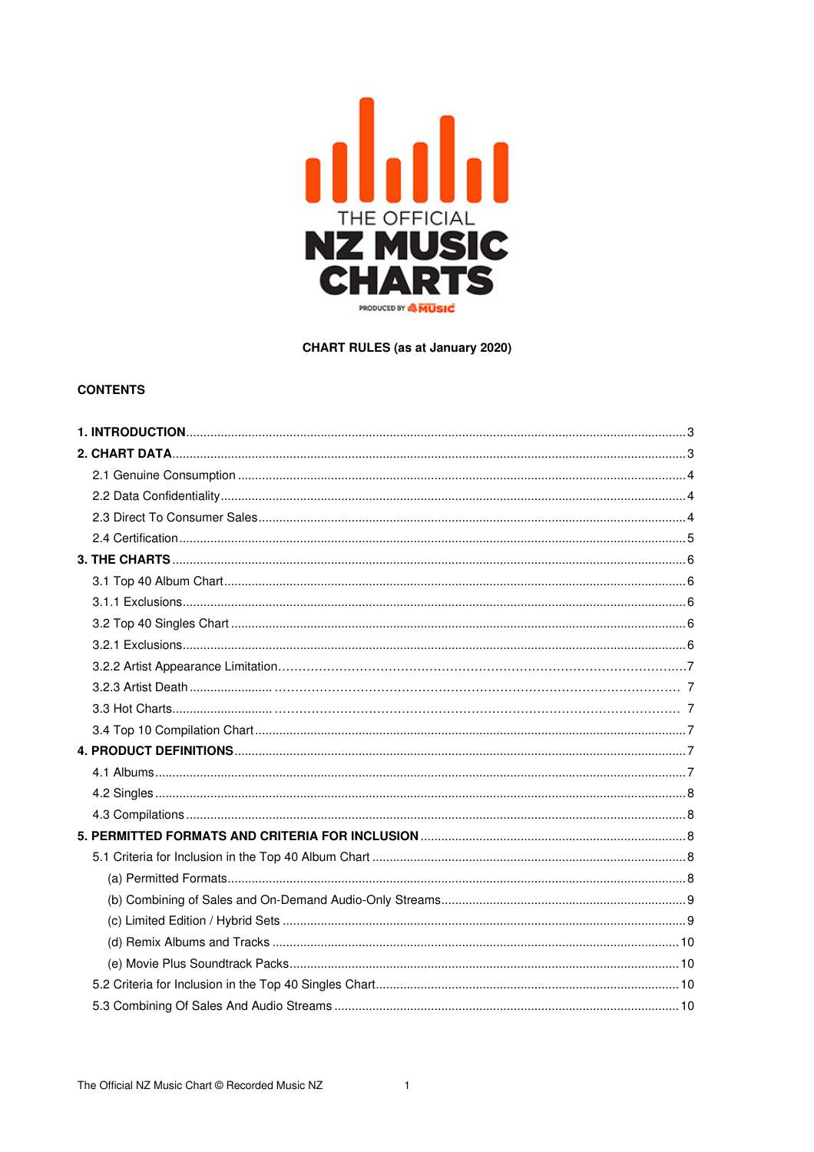

**CHART RULES (as at January 2020)** 

# **CONTENTS**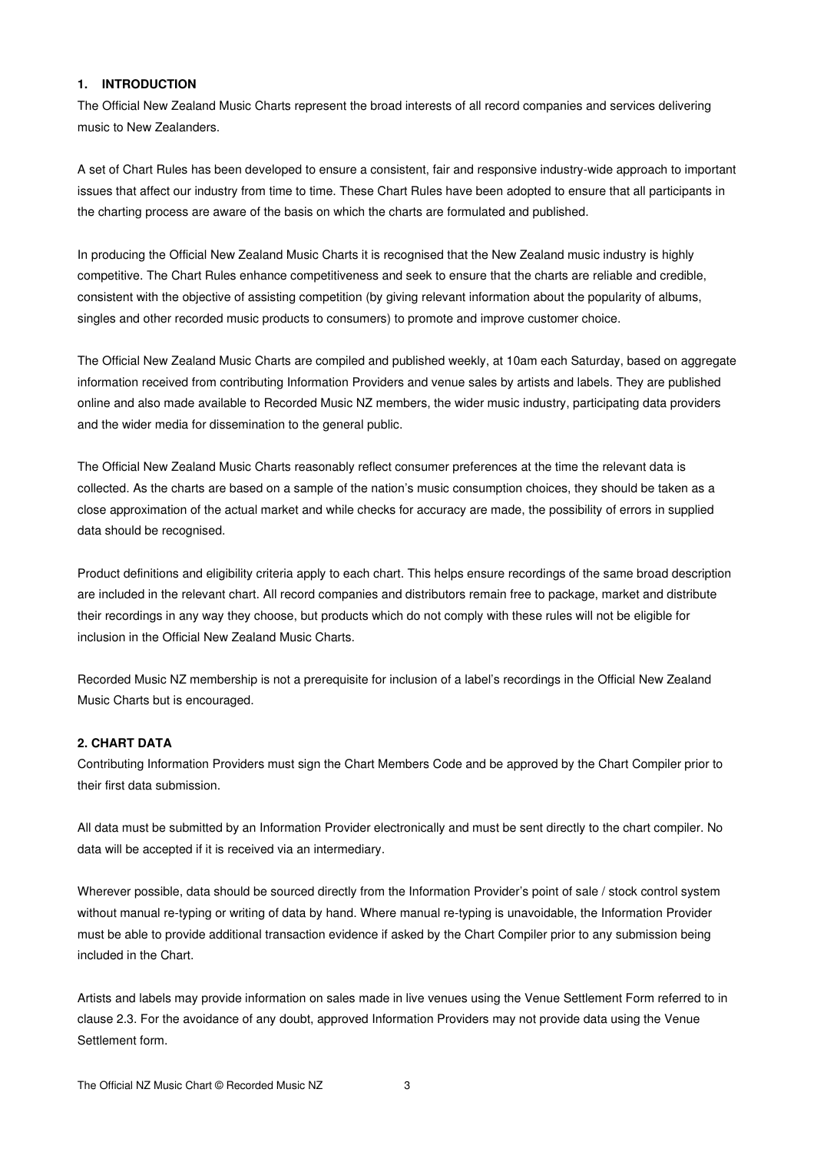### **1. INTRODUCTION**

The Official New Zealand Music Charts represent the broad interests of all record companies and services delivering music to New Zealanders.

A set of Chart Rules has been developed to ensure a consistent, fair and responsive industry-wide approach to important issues that affect our industry from time to time. These Chart Rules have been adopted to ensure that all participants in the charting process are aware of the basis on which the charts are formulated and published.

In producing the Official New Zealand Music Charts it is recognised that the New Zealand music industry is highly competitive. The Chart Rules enhance competitiveness and seek to ensure that the charts are reliable and credible, consistent with the objective of assisting competition (by giving relevant information about the popularity of albums, singles and other recorded music products to consumers) to promote and improve customer choice.

The Official New Zealand Music Charts are compiled and published weekly, at 10am each Saturday, based on aggregate information received from contributing Information Providers and venue sales by artists and labels. They are published online and also made available to Recorded Music NZ members, the wider music industry, participating data providers and the wider media for dissemination to the general public.

The Official New Zealand Music Charts reasonably reflect consumer preferences at the time the relevant data is collected. As the charts are based on a sample of the nation's music consumption choices, they should be taken as a close approximation of the actual market and while checks for accuracy are made, the possibility of errors in supplied data should be recognised.

Product definitions and eligibility criteria apply to each chart. This helps ensure recordings of the same broad description are included in the relevant chart. All record companies and distributors remain free to package, market and distribute their recordings in any way they choose, but products which do not comply with these rules will not be eligible for inclusion in the Official New Zealand Music Charts.

Recorded Music NZ membership is not a prerequisite for inclusion of a label's recordings in the Official New Zealand Music Charts but is encouraged.

# **2. CHART DATA**

Contributing Information Providers must sign the Chart Members Code and be approved by the Chart Compiler prior to their first data submission.

All data must be submitted by an Information Provider electronically and must be sent directly to the chart compiler. No data will be accepted if it is received via an intermediary.

Wherever possible, data should be sourced directly from the Information Provider's point of sale / stock control system without manual re-typing or writing of data by hand. Where manual re-typing is unavoidable, the Information Provider must be able to provide additional transaction evidence if asked by the Chart Compiler prior to any submission being included in the Chart.

Artists and labels may provide information on sales made in live venues using the Venue Settlement Form referred to in clause 2.3. For the avoidance of any doubt, approved Information Providers may not provide data using the Venue Settlement form.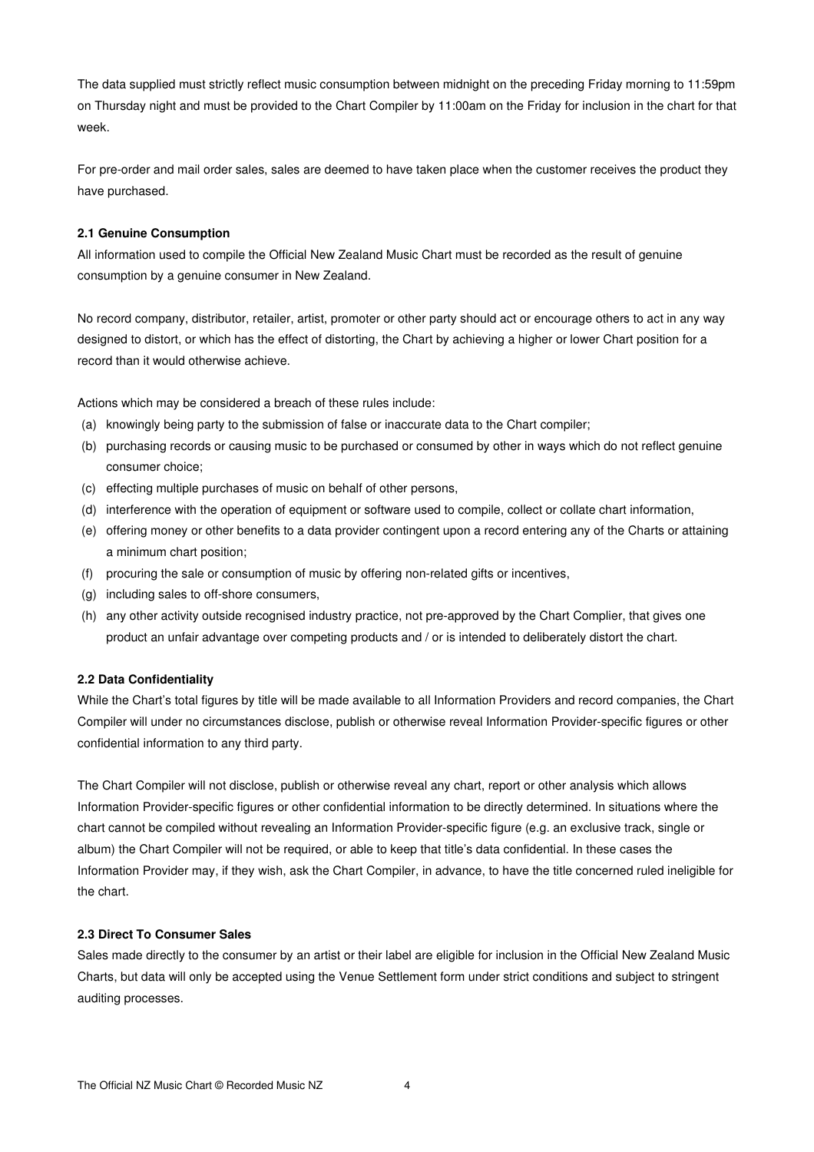The data supplied must strictly reflect music consumption between midnight on the preceding Friday morning to 11:59pm on Thursday night and must be provided to the Chart Compiler by 11:00am on the Friday for inclusion in the chart for that week.

For pre-order and mail order sales, sales are deemed to have taken place when the customer receives the product they have purchased.

### **2.1 Genuine Consumption**

All information used to compile the Official New Zealand Music Chart must be recorded as the result of genuine consumption by a genuine consumer in New Zealand.

No record company, distributor, retailer, artist, promoter or other party should act or encourage others to act in any way designed to distort, or which has the effect of distorting, the Chart by achieving a higher or lower Chart position for a record than it would otherwise achieve.

Actions which may be considered a breach of these rules include:

- (a) knowingly being party to the submission of false or inaccurate data to the Chart compiler;
- (b) purchasing records or causing music to be purchased or consumed by other in ways which do not reflect genuine consumer choice;
- (c) effecting multiple purchases of music on behalf of other persons,
- (d) interference with the operation of equipment or software used to compile, collect or collate chart information,
- (e) offering money or other benefits to a data provider contingent upon a record entering any of the Charts or attaining a minimum chart position;
- (f) procuring the sale or consumption of music by offering non-related gifts or incentives,
- (g) including sales to off-shore consumers,
- (h) any other activity outside recognised industry practice, not pre-approved by the Chart Complier, that gives one product an unfair advantage over competing products and / or is intended to deliberately distort the chart.

### **2.2 Data Confidentiality**

While the Chart's total figures by title will be made available to all Information Providers and record companies, the Chart Compiler will under no circumstances disclose, publish or otherwise reveal Information Provider-specific figures or other confidential information to any third party.

The Chart Compiler will not disclose, publish or otherwise reveal any chart, report or other analysis which allows Information Provider-specific figures or other confidential information to be directly determined. In situations where the chart cannot be compiled without revealing an Information Provider-specific figure (e.g. an exclusive track, single or album) the Chart Compiler will not be required, or able to keep that title's data confidential. In these cases the Information Provider may, if they wish, ask the Chart Compiler, in advance, to have the title concerned ruled ineligible for the chart.

## **2.3 Direct To Consumer Sales**

Sales made directly to the consumer by an artist or their label are eligible for inclusion in the Official New Zealand Music Charts, but data will only be accepted using the Venue Settlement form under strict conditions and subject to stringent auditing processes.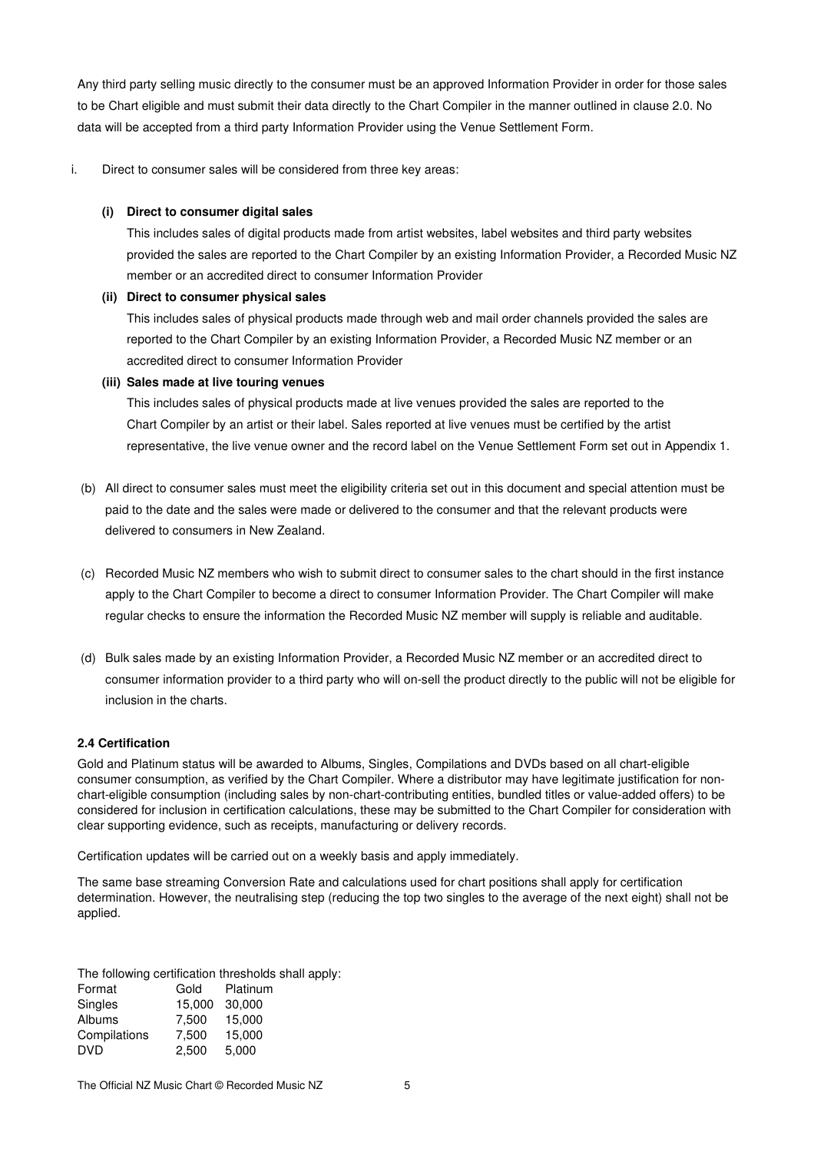Any third party selling music directly to the consumer must be an approved Information Provider in order for those sales to be Chart eligible and must submit their data directly to the Chart Compiler in the manner outlined in clause 2.0. No data will be accepted from a third party Information Provider using the Venue Settlement Form.

i. Direct to consumer sales will be considered from three key areas:

## **(i) Direct to consumer digital sales**

This includes sales of digital products made from artist websites, label websites and third party websites provided the sales are reported to the Chart Compiler by an existing Information Provider, a Recorded Music NZ member or an accredited direct to consumer Information Provider

## **(ii) Direct to consumer physical sales**

This includes sales of physical products made through web and mail order channels provided the sales are reported to the Chart Compiler by an existing Information Provider, a Recorded Music NZ member or an accredited direct to consumer Information Provider

# **(iii) Sales made at live touring venues**

This includes sales of physical products made at live venues provided the sales are reported to the Chart Compiler by an artist or their label. Sales reported at live venues must be certified by the artist representative, the live venue owner and the record label on the Venue Settlement Form set out in Appendix 1.

- (b) All direct to consumer sales must meet the eligibility criteria set out in this document and special attention must be paid to the date and the sales were made or delivered to the consumer and that the relevant products were delivered to consumers in New Zealand.
- (c) Recorded Music NZ members who wish to submit direct to consumer sales to the chart should in the first instance apply to the Chart Compiler to become a direct to consumer Information Provider. The Chart Compiler will make regular checks to ensure the information the Recorded Music NZ member will supply is reliable and auditable.
- (d) Bulk sales made by an existing Information Provider, a Recorded Music NZ member or an accredited direct to consumer information provider to a third party who will on-sell the product directly to the public will not be eligible for inclusion in the charts.

# **2.4 Certification**

Gold and Platinum status will be awarded to Albums, Singles, Compilations and DVDs based on all chart-eligible consumer consumption, as verified by the Chart Compiler. Where a distributor may have legitimate justification for nonchart-eligible consumption (including sales by non-chart-contributing entities, bundled titles or value-added offers) to be considered for inclusion in certification calculations, these may be submitted to the Chart Compiler for consideration with clear supporting evidence, such as receipts, manufacturing or delivery records.

Certification updates will be carried out on a weekly basis and apply immediately.

The same base streaming Conversion Rate and calculations used for chart positions shall apply for certification determination. However, the neutralising step (reducing the top two singles to the average of the next eight) shall not be applied.

The following certification thresholds shall apply:

| Format       | Gold   | Platinum |
|--------------|--------|----------|
| Singles      | 15,000 | 30,000   |
| Albums       | 7.500  | 15.000   |
| Compilations | 7,500  | 15,000   |
| DVD          | 2,500  | 5,000    |
|              |        |          |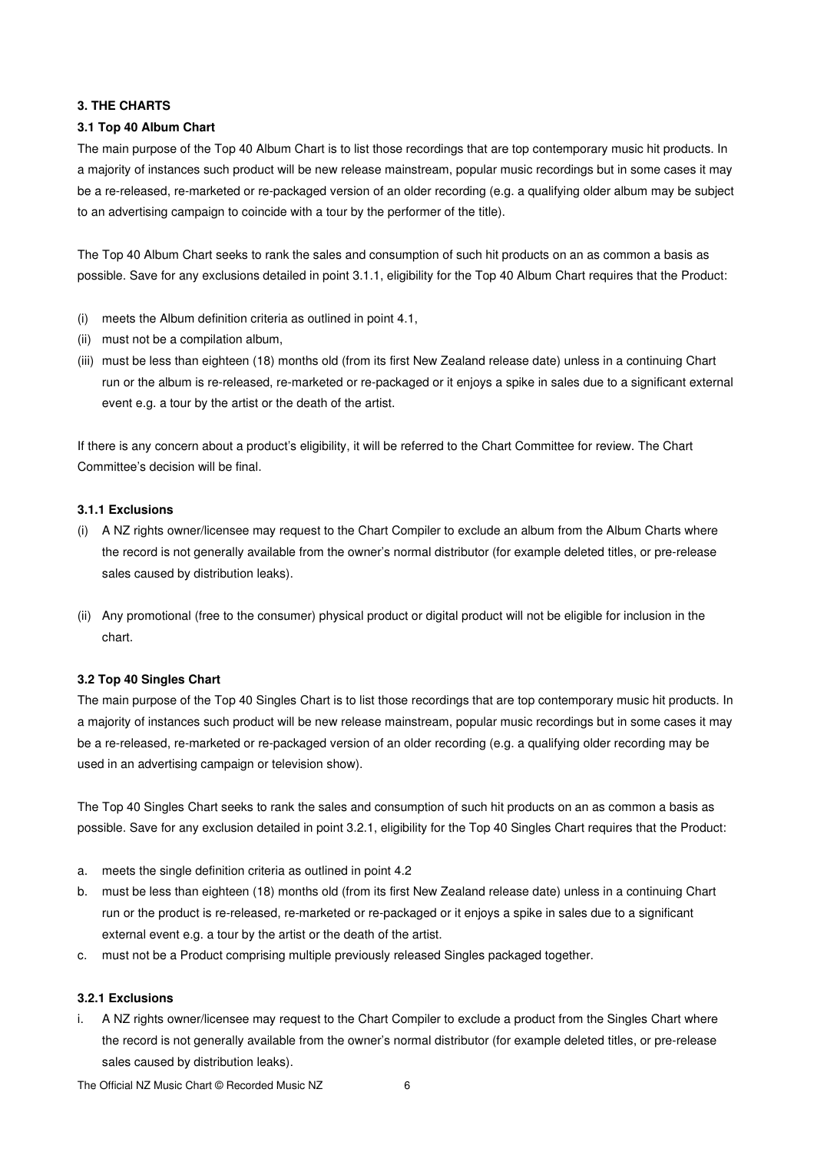## **3. THE CHARTS**

### **3.1 Top 40 Album Chart**

The main purpose of the Top 40 Album Chart is to list those recordings that are top contemporary music hit products. In a majority of instances such product will be new release mainstream, popular music recordings but in some cases it may be a re-released, re-marketed or re-packaged version of an older recording (e.g. a qualifying older album may be subject to an advertising campaign to coincide with a tour by the performer of the title).

The Top 40 Album Chart seeks to rank the sales and consumption of such hit products on an as common a basis as possible. Save for any exclusions detailed in point 3.1.1, eligibility for the Top 40 Album Chart requires that the Product:

- (i) meets the Album definition criteria as outlined in point 4.1,
- (ii) must not be a compilation album,
- (iii) must be less than eighteen (18) months old (from its first New Zealand release date) unless in a continuing Chart run or the album is re-released, re-marketed or re-packaged or it enjoys a spike in sales due to a significant external event e.g. a tour by the artist or the death of the artist.

If there is any concern about a product's eligibility, it will be referred to the Chart Committee for review. The Chart Committee's decision will be final.

## **3.1.1 Exclusions**

- (i) A NZ rights owner/licensee may request to the Chart Compiler to exclude an album from the Album Charts where the record is not generally available from the owner's normal distributor (for example deleted titles, or pre-release sales caused by distribution leaks).
- (ii) Any promotional (free to the consumer) physical product or digital product will not be eligible for inclusion in the chart.

#### **3.2 Top 40 Singles Chart**

The main purpose of the Top 40 Singles Chart is to list those recordings that are top contemporary music hit products. In a majority of instances such product will be new release mainstream, popular music recordings but in some cases it may be a re-released, re-marketed or re-packaged version of an older recording (e.g. a qualifying older recording may be used in an advertising campaign or television show).

The Top 40 Singles Chart seeks to rank the sales and consumption of such hit products on an as common a basis as possible. Save for any exclusion detailed in point 3.2.1, eligibility for the Top 40 Singles Chart requires that the Product:

- a. meets the single definition criteria as outlined in point 4.2
- b. must be less than eighteen (18) months old (from its first New Zealand release date) unless in a continuing Chart run or the product is re-released, re-marketed or re-packaged or it enjoys a spike in sales due to a significant external event e.g. a tour by the artist or the death of the artist.
- c. must not be a Product comprising multiple previously released Singles packaged together.

### **3.2.1 Exclusions**

i. A NZ rights owner/licensee may request to the Chart Compiler to exclude a product from the Singles Chart where the record is not generally available from the owner's normal distributor (for example deleted titles, or pre-release sales caused by distribution leaks).

The Official NZ Music Chart © Recorded Music NZ 6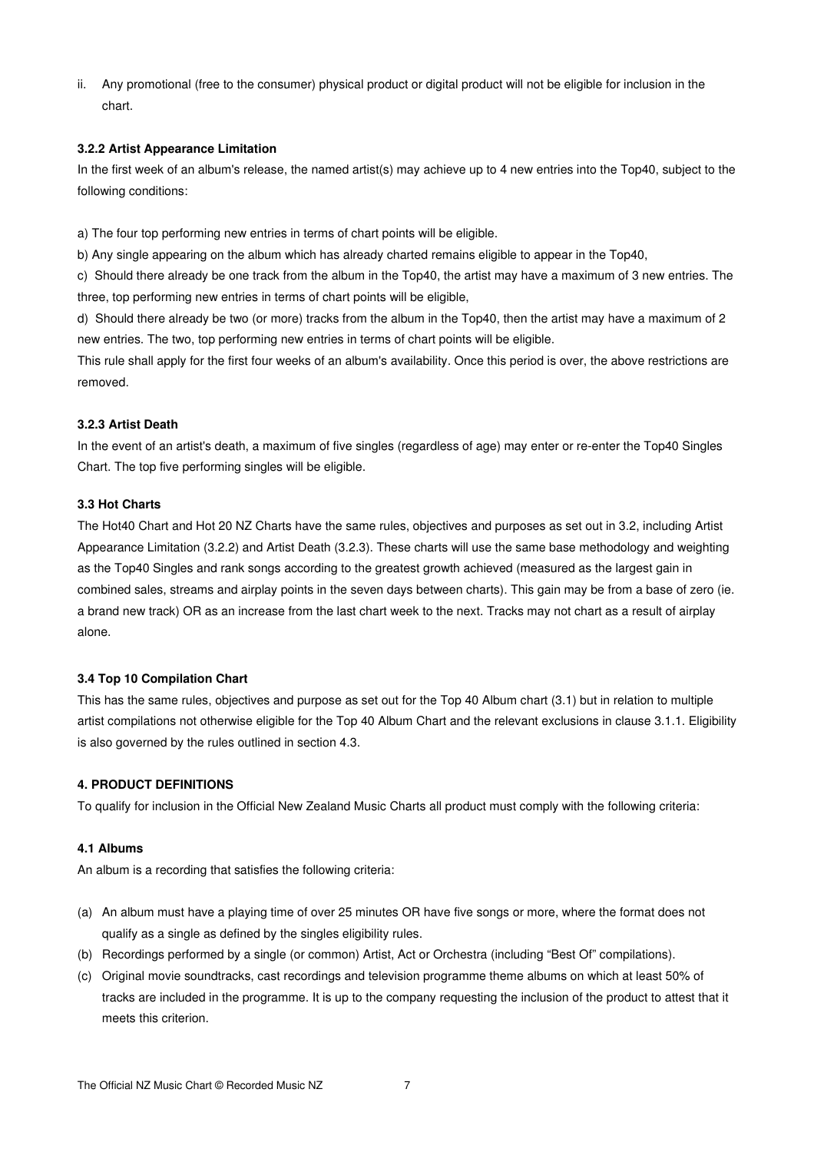ii. Any promotional (free to the consumer) physical product or digital product will not be eligible for inclusion in the chart.

### **3.2.2 Artist Appearance Limitation**

In the first week of an album's release, the named artist(s) may achieve up to 4 new entries into the Top40, subject to the following conditions:

a) The four top performing new entries in terms of chart points will be eligible.

b) Any single appearing on the album which has already charted remains eligible to appear in the Top40,

c) Should there already be one track from the album in the Top40, the artist may have a maximum of 3 new entries. The three, top performing new entries in terms of chart points will be eligible,

d) Should there already be two (or more) tracks from the album in the Top40, then the artist may have a maximum of 2 new entries. The two, top performing new entries in terms of chart points will be eligible.

This rule shall apply for the first four weeks of an album's availability. Once this period is over, the above restrictions are removed.

### **3.2.3 Artist Death**

In the event of an artist's death, a maximum of five singles (regardless of age) may enter or re-enter the Top40 Singles Chart. The top five performing singles will be eligible.

## **3.3 Hot Charts**

The Hot40 Chart and Hot 20 NZ Charts have the same rules, objectives and purposes as set out in 3.2, including Artist Appearance Limitation (3.2.2) and Artist Death (3.2.3). These charts will use the same base methodology and weighting as the Top40 Singles and rank songs according to the greatest growth achieved (measured as the largest gain in combined sales, streams and airplay points in the seven days between charts). This gain may be from a base of zero (ie. a brand new track) OR as an increase from the last chart week to the next. Tracks may not chart as a result of airplay alone.

## **3.4 Top 10 Compilation Chart**

This has the same rules, objectives and purpose as set out for the Top 40 Album chart (3.1) but in relation to multiple artist compilations not otherwise eligible for the Top 40 Album Chart and the relevant exclusions in clause 3.1.1. Eligibility is also governed by the rules outlined in section 4.3.

## **4. PRODUCT DEFINITIONS**

To qualify for inclusion in the Official New Zealand Music Charts all product must comply with the following criteria:

#### **4.1 Albums**

An album is a recording that satisfies the following criteria:

- (a) An album must have a playing time of over 25 minutes OR have five songs or more, where the format does not qualify as a single as defined by the singles eligibility rules.
- (b) Recordings performed by a single (or common) Artist, Act or Orchestra (including "Best Of" compilations).
- (c) Original movie soundtracks, cast recordings and television programme theme albums on which at least 50% of tracks are included in the programme. It is up to the company requesting the inclusion of the product to attest that it meets this criterion.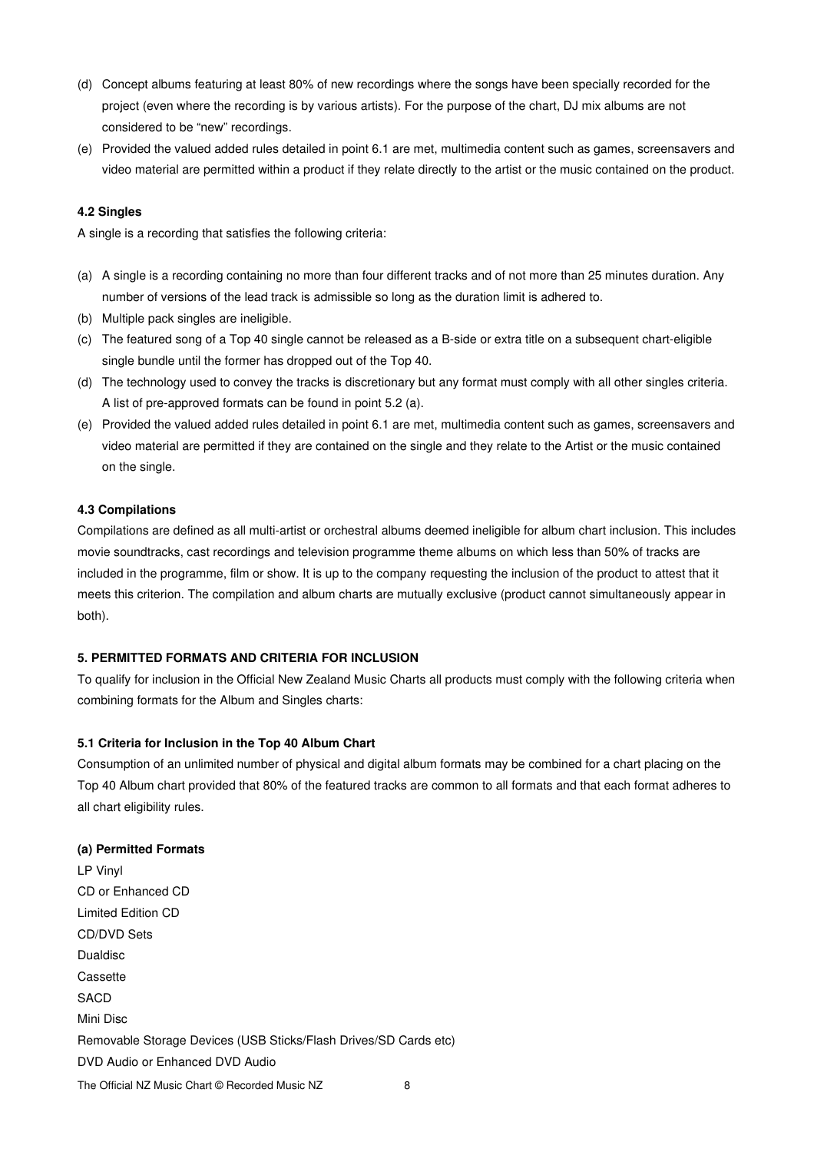- (d) Concept albums featuring at least 80% of new recordings where the songs have been specially recorded for the project (even where the recording is by various artists). For the purpose of the chart, DJ mix albums are not considered to be "new" recordings.
- (e) Provided the valued added rules detailed in point 6.1 are met, multimedia content such as games, screensavers and video material are permitted within a product if they relate directly to the artist or the music contained on the product.

#### **4.2 Singles**

A single is a recording that satisfies the following criteria:

- (a) A single is a recording containing no more than four different tracks and of not more than 25 minutes duration. Any number of versions of the lead track is admissible so long as the duration limit is adhered to.
- (b) Multiple pack singles are ineligible.
- (c) The featured song of a Top 40 single cannot be released as a B-side or extra title on a subsequent chart-eligible single bundle until the former has dropped out of the Top 40.
- (d) The technology used to convey the tracks is discretionary but any format must comply with all other singles criteria. A list of pre-approved formats can be found in point 5.2 (a).
- (e) Provided the valued added rules detailed in point 6.1 are met, multimedia content such as games, screensavers and video material are permitted if they are contained on the single and they relate to the Artist or the music contained on the single.

#### **4.3 Compilations**

Compilations are defined as all multi-artist or orchestral albums deemed ineligible for album chart inclusion. This includes movie soundtracks, cast recordings and television programme theme albums on which less than 50% of tracks are included in the programme, film or show. It is up to the company requesting the inclusion of the product to attest that it meets this criterion. The compilation and album charts are mutually exclusive (product cannot simultaneously appear in both).

### **5. PERMITTED FORMATS AND CRITERIA FOR INCLUSION**

To qualify for inclusion in the Official New Zealand Music Charts all products must comply with the following criteria when combining formats for the Album and Singles charts:

#### **5.1 Criteria for Inclusion in the Top 40 Album Chart**

Consumption of an unlimited number of physical and digital album formats may be combined for a chart placing on the Top 40 Album chart provided that 80% of the featured tracks are common to all formats and that each format adheres to all chart eligibility rules.

#### **(a) Permitted Formats**

The Official NZ Music Chart © Recorded Music NZ 8 LP Vinyl CD or Enhanced CD Limited Edition CD CD/DVD Sets Dualdisc **Cassette SACD** Mini Disc Removable Storage Devices (USB Sticks/Flash Drives/SD Cards etc) DVD Audio or Enhanced DVD Audio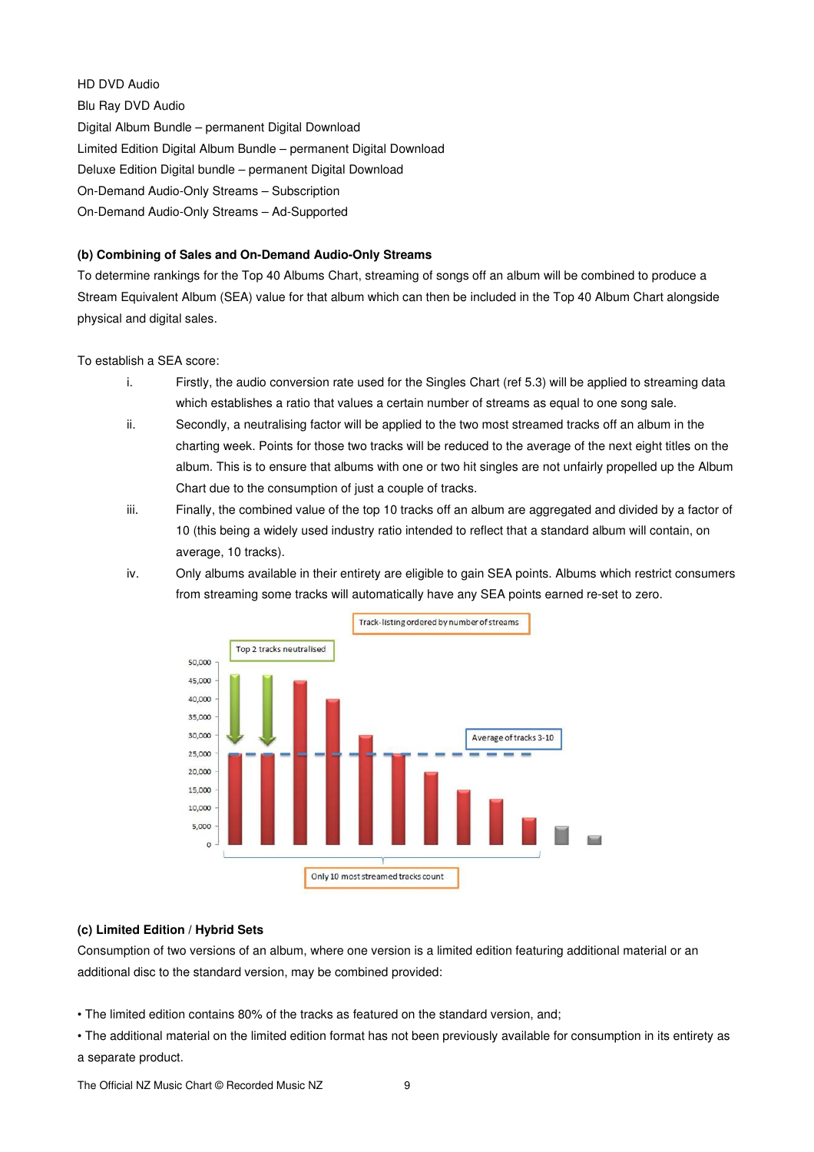## HD DVD Audio

Blu Ray DVD Audio Digital Album Bundle – permanent Digital Download Limited Edition Digital Album Bundle – permanent Digital Download Deluxe Edition Digital bundle – permanent Digital Download On-Demand Audio-Only Streams – Subscription On-Demand Audio-Only Streams – Ad-Supported

# **(b) Combining of Sales and On-Demand Audio-Only Streams**

To determine rankings for the Top 40 Albums Chart, streaming of songs off an album will be combined to produce a Stream Equivalent Album (SEA) value for that album which can then be included in the Top 40 Album Chart alongside physical and digital sales.

To establish a SEA score:

- i. Firstly, the audio conversion rate used for the Singles Chart (ref 5.3) will be applied to streaming data which establishes a ratio that values a certain number of streams as equal to one song sale.
- ii. Secondly, a neutralising factor will be applied to the two most streamed tracks off an album in the charting week. Points for those two tracks will be reduced to the average of the next eight titles on the album. This is to ensure that albums with one or two hit singles are not unfairly propelled up the Album Chart due to the consumption of just a couple of tracks.
- iii. Finally, the combined value of the top 10 tracks off an album are aggregated and divided by a factor of 10 (this being a widely used industry ratio intended to reflect that a standard album will contain, on average, 10 tracks).
- iv. Only albums available in their entirety are eligible to gain SEA points. Albums which restrict consumers from streaming some tracks will automatically have any SEA points earned re-set to zero.



## **(c) Limited Edition / Hybrid Sets**

Consumption of two versions of an album, where one version is a limited edition featuring additional material or an additional disc to the standard version, may be combined provided:

- The limited edition contains 80% of the tracks as featured on the standard version, and;
- The additional material on the limited edition format has not been previously available for consumption in its entirety as a separate product.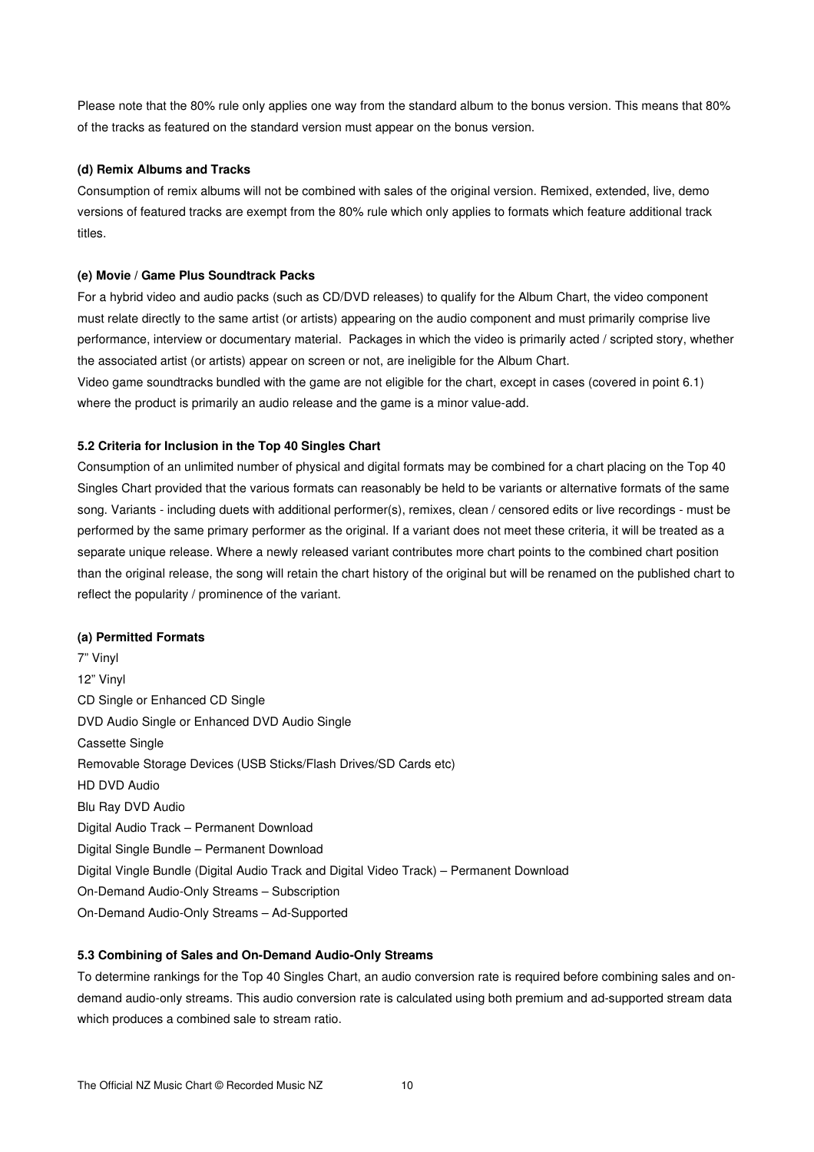Please note that the 80% rule only applies one way from the standard album to the bonus version. This means that 80% of the tracks as featured on the standard version must appear on the bonus version.

### **(d) Remix Albums and Tracks**

Consumption of remix albums will not be combined with sales of the original version. Remixed, extended, live, demo versions of featured tracks are exempt from the 80% rule which only applies to formats which feature additional track titles.

#### **(e) Movie / Game Plus Soundtrack Packs**

For a hybrid video and audio packs (such as CD/DVD releases) to qualify for the Album Chart, the video component must relate directly to the same artist (or artists) appearing on the audio component and must primarily comprise live performance, interview or documentary material. Packages in which the video is primarily acted / scripted story, whether the associated artist (or artists) appear on screen or not, are ineligible for the Album Chart.

Video game soundtracks bundled with the game are not eligible for the chart, except in cases (covered in point 6.1) where the product is primarily an audio release and the game is a minor value-add.

### **5.2 Criteria for Inclusion in the Top 40 Singles Chart**

Consumption of an unlimited number of physical and digital formats may be combined for a chart placing on the Top 40 Singles Chart provided that the various formats can reasonably be held to be variants or alternative formats of the same song. Variants - including duets with additional performer(s), remixes, clean / censored edits or live recordings - must be performed by the same primary performer as the original. If a variant does not meet these criteria, it will be treated as a separate unique release. Where a newly released variant contributes more chart points to the combined chart position than the original release, the song will retain the chart history of the original but will be renamed on the published chart to reflect the popularity / prominence of the variant.

#### **(a) Permitted Formats**

7" Vinyl 12" Vinyl CD Single or Enhanced CD Single DVD Audio Single or Enhanced DVD Audio Single Cassette Single Removable Storage Devices (USB Sticks/Flash Drives/SD Cards etc) HD DVD Audio Blu Ray DVD Audio Digital Audio Track – Permanent Download Digital Single Bundle – Permanent Download Digital Vingle Bundle (Digital Audio Track and Digital Video Track) – Permanent Download On-Demand Audio-Only Streams – Subscription On-Demand Audio-Only Streams – Ad-Supported

#### **5.3 Combining of Sales and On-Demand Audio-Only Streams**

To determine rankings for the Top 40 Singles Chart, an audio conversion rate is required before combining sales and ondemand audio-only streams. This audio conversion rate is calculated using both premium and ad-supported stream data which produces a combined sale to stream ratio.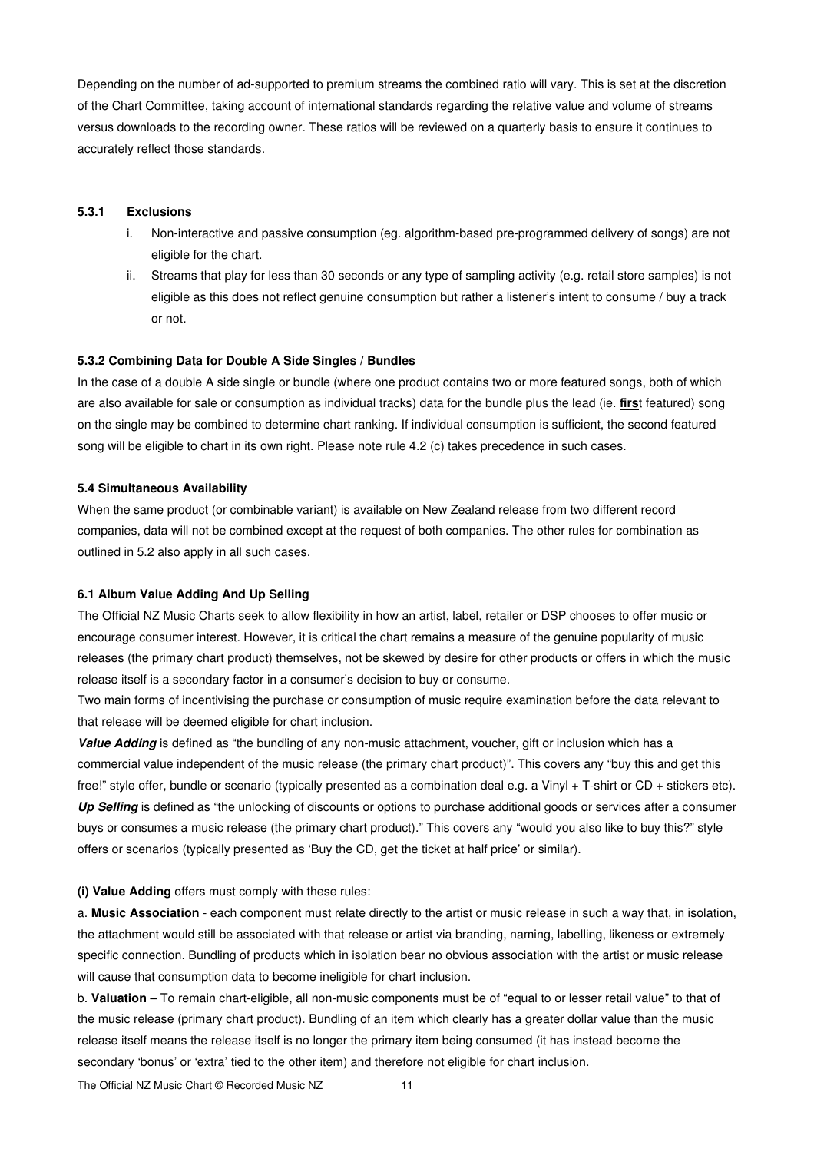Depending on the number of ad-supported to premium streams the combined ratio will vary. This is set at the discretion of the Chart Committee, taking account of international standards regarding the relative value and volume of streams versus downloads to the recording owner. These ratios will be reviewed on a quarterly basis to ensure it continues to accurately reflect those standards.

#### **5.3.1 Exclusions**

- i. Non-interactive and passive consumption (eg. algorithm-based pre-programmed delivery of songs) are not eligible for the chart.
- ii. Streams that play for less than 30 seconds or any type of sampling activity (e.g. retail store samples) is not eligible as this does not reflect genuine consumption but rather a listener's intent to consume / buy a track or not.

#### **5.3.2 Combining Data for Double A Side Singles / Bundles**

In the case of a double A side single or bundle (where one product contains two or more featured songs, both of which are also available for sale or consumption as individual tracks) data for the bundle plus the lead (ie. **firs**t featured) song on the single may be combined to determine chart ranking. If individual consumption is sufficient, the second featured song will be eligible to chart in its own right. Please note rule 4.2 (c) takes precedence in such cases.

#### **5.4 Simultaneous Availability**

When the same product (or combinable variant) is available on New Zealand release from two different record companies, data will not be combined except at the request of both companies. The other rules for combination as outlined in 5.2 also apply in all such cases.

#### **6.1 Album Value Adding And Up Selling**

The Official NZ Music Charts seek to allow flexibility in how an artist, label, retailer or DSP chooses to offer music or encourage consumer interest. However, it is critical the chart remains a measure of the genuine popularity of music releases (the primary chart product) themselves, not be skewed by desire for other products or offers in which the music release itself is a secondary factor in a consumer's decision to buy or consume.

Two main forms of incentivising the purchase or consumption of music require examination before the data relevant to that release will be deemed eligible for chart inclusion.

**Value Adding** is defined as "the bundling of any non-music attachment, voucher, gift or inclusion which has a commercial value independent of the music release (the primary chart product)". This covers any "buy this and get this free!" style offer, bundle or scenario (typically presented as a combination deal e.g. a Vinyl + T-shirt or CD + stickers etc). **Up Selling** is defined as "the unlocking of discounts or options to purchase additional goods or services after a consumer buys or consumes a music release (the primary chart product)." This covers any "would you also like to buy this?" style offers or scenarios (typically presented as 'Buy the CD, get the ticket at half price' or similar).

### **(i) Value Adding** offers must comply with these rules:

a. **Music Association** - each component must relate directly to the artist or music release in such a way that, in isolation, the attachment would still be associated with that release or artist via branding, naming, labelling, likeness or extremely specific connection. Bundling of products which in isolation bear no obvious association with the artist or music release will cause that consumption data to become ineligible for chart inclusion.

b. **Valuation** – To remain chart-eligible, all non-music components must be of "equal to or lesser retail value" to that of the music release (primary chart product). Bundling of an item which clearly has a greater dollar value than the music release itself means the release itself is no longer the primary item being consumed (it has instead become the secondary 'bonus' or 'extra' tied to the other item) and therefore not eligible for chart inclusion.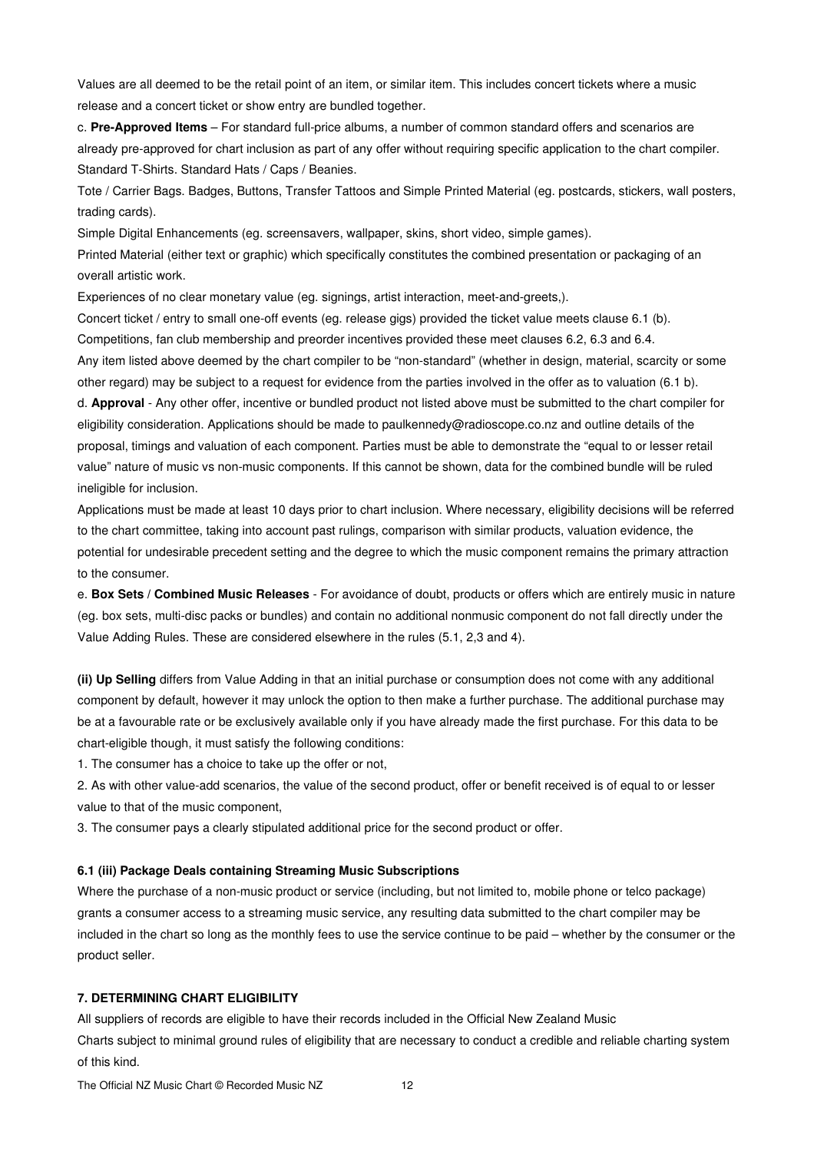Values are all deemed to be the retail point of an item, or similar item. This includes concert tickets where a music release and a concert ticket or show entry are bundled together.

c. **Pre-Approved Items** – For standard full-price albums, a number of common standard offers and scenarios are already pre-approved for chart inclusion as part of any offer without requiring specific application to the chart compiler. Standard T-Shirts. Standard Hats / Caps / Beanies.

Tote / Carrier Bags. Badges, Buttons, Transfer Tattoos and Simple Printed Material (eg. postcards, stickers, wall posters, trading cards).

Simple Digital Enhancements (eg. screensavers, wallpaper, skins, short video, simple games).

Printed Material (either text or graphic) which specifically constitutes the combined presentation or packaging of an overall artistic work.

Experiences of no clear monetary value (eg. signings, artist interaction, meet-and-greets,).

Concert ticket / entry to small one-off events (eg. release gigs) provided the ticket value meets clause 6.1 (b). Competitions, fan club membership and preorder incentives provided these meet clauses 6.2, 6.3 and 6.4. Any item listed above deemed by the chart compiler to be "non-standard" (whether in design, material, scarcity or some other regard) may be subject to a request for evidence from the parties involved in the offer as to valuation (6.1 b). d. **Approval** - Any other offer, incentive or bundled product not listed above must be submitted to the chart compiler for eligibility consideration. Applications should be made to paulkennedy@radioscope.co.nz and outline details of the proposal, timings and valuation of each component. Parties must be able to demonstrate the "equal to or lesser retail value" nature of music vs non-music components. If this cannot be shown, data for the combined bundle will be ruled ineligible for inclusion.

Applications must be made at least 10 days prior to chart inclusion. Where necessary, eligibility decisions will be referred to the chart committee, taking into account past rulings, comparison with similar products, valuation evidence, the potential for undesirable precedent setting and the degree to which the music component remains the primary attraction to the consumer.

e. **Box Sets / Combined Music Releases** - For avoidance of doubt, products or offers which are entirely music in nature (eg. box sets, multi-disc packs or bundles) and contain no additional nonmusic component do not fall directly under the Value Adding Rules. These are considered elsewhere in the rules (5.1, 2,3 and 4).

**(ii) Up Selling** differs from Value Adding in that an initial purchase or consumption does not come with any additional component by default, however it may unlock the option to then make a further purchase. The additional purchase may be at a favourable rate or be exclusively available only if you have already made the first purchase. For this data to be chart-eligible though, it must satisfy the following conditions:

1. The consumer has a choice to take up the offer or not,

2. As with other value-add scenarios, the value of the second product, offer or benefit received is of equal to or lesser value to that of the music component,

3. The consumer pays a clearly stipulated additional price for the second product or offer.

#### **6.1 (iii) Package Deals containing Streaming Music Subscriptions**

Where the purchase of a non-music product or service (including, but not limited to, mobile phone or telco package) grants a consumer access to a streaming music service, any resulting data submitted to the chart compiler may be included in the chart so long as the monthly fees to use the service continue to be paid – whether by the consumer or the product seller.

### **7. DETERMINING CHART ELIGIBILITY**

All suppliers of records are eligible to have their records included in the Official New Zealand Music Charts subject to minimal ground rules of eligibility that are necessary to conduct a credible and reliable charting system of this kind.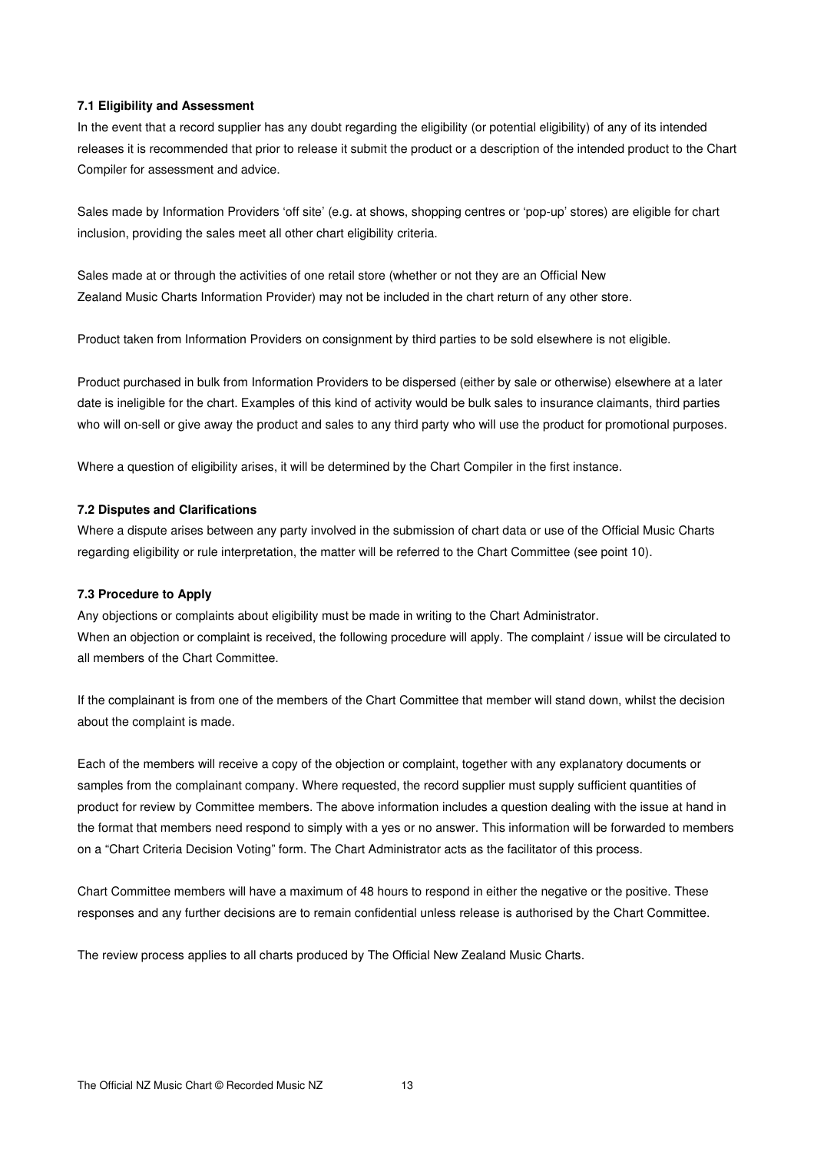### **7.1 Eligibility and Assessment**

In the event that a record supplier has any doubt regarding the eligibility (or potential eligibility) of any of its intended releases it is recommended that prior to release it submit the product or a description of the intended product to the Chart Compiler for assessment and advice.

Sales made by Information Providers 'off site' (e.g. at shows, shopping centres or 'pop-up' stores) are eligible for chart inclusion, providing the sales meet all other chart eligibility criteria.

Sales made at or through the activities of one retail store (whether or not they are an Official New Zealand Music Charts Information Provider) may not be included in the chart return of any other store.

Product taken from Information Providers on consignment by third parties to be sold elsewhere is not eligible.

Product purchased in bulk from Information Providers to be dispersed (either by sale or otherwise) elsewhere at a later date is ineligible for the chart. Examples of this kind of activity would be bulk sales to insurance claimants, third parties who will on-sell or give away the product and sales to any third party who will use the product for promotional purposes.

Where a question of eligibility arises, it will be determined by the Chart Compiler in the first instance.

### **7.2 Disputes and Clarifications**

Where a dispute arises between any party involved in the submission of chart data or use of the Official Music Charts regarding eligibility or rule interpretation, the matter will be referred to the Chart Committee (see point 10).

#### **7.3 Procedure to Apply**

Any objections or complaints about eligibility must be made in writing to the Chart Administrator. When an objection or complaint is received, the following procedure will apply. The complaint / issue will be circulated to all members of the Chart Committee.

If the complainant is from one of the members of the Chart Committee that member will stand down, whilst the decision about the complaint is made.

Each of the members will receive a copy of the objection or complaint, together with any explanatory documents or samples from the complainant company. Where requested, the record supplier must supply sufficient quantities of product for review by Committee members. The above information includes a question dealing with the issue at hand in the format that members need respond to simply with a yes or no answer. This information will be forwarded to members on a "Chart Criteria Decision Voting" form. The Chart Administrator acts as the facilitator of this process.

Chart Committee members will have a maximum of 48 hours to respond in either the negative or the positive. These responses and any further decisions are to remain confidential unless release is authorised by the Chart Committee.

The review process applies to all charts produced by The Official New Zealand Music Charts.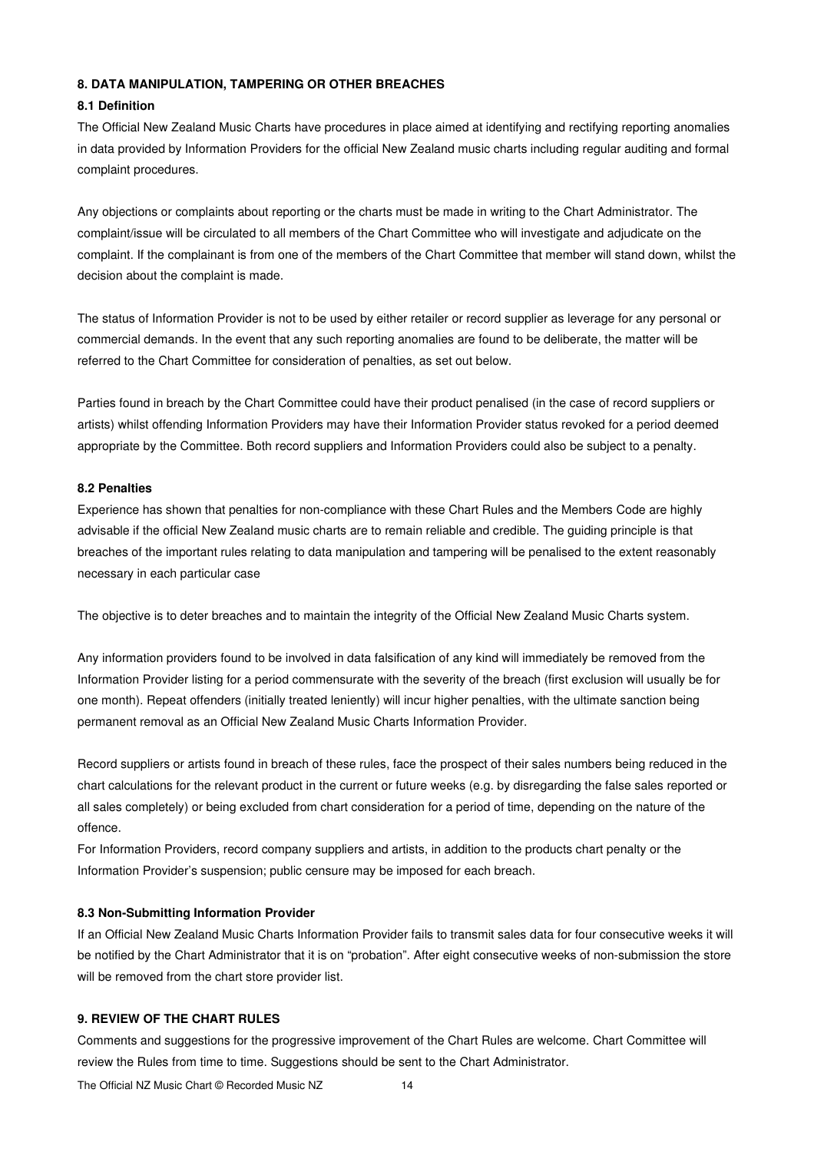### **8. DATA MANIPULATION, TAMPERING OR OTHER BREACHES**

#### **8.1 Definition**

The Official New Zealand Music Charts have procedures in place aimed at identifying and rectifying reporting anomalies in data provided by Information Providers for the official New Zealand music charts including regular auditing and formal complaint procedures.

Any objections or complaints about reporting or the charts must be made in writing to the Chart Administrator. The complaint/issue will be circulated to all members of the Chart Committee who will investigate and adjudicate on the complaint. If the complainant is from one of the members of the Chart Committee that member will stand down, whilst the decision about the complaint is made.

The status of Information Provider is not to be used by either retailer or record supplier as leverage for any personal or commercial demands. In the event that any such reporting anomalies are found to be deliberate, the matter will be referred to the Chart Committee for consideration of penalties, as set out below.

Parties found in breach by the Chart Committee could have their product penalised (in the case of record suppliers or artists) whilst offending Information Providers may have their Information Provider status revoked for a period deemed appropriate by the Committee. Both record suppliers and Information Providers could also be subject to a penalty.

### **8.2 Penalties**

Experience has shown that penalties for non-compliance with these Chart Rules and the Members Code are highly advisable if the official New Zealand music charts are to remain reliable and credible. The guiding principle is that breaches of the important rules relating to data manipulation and tampering will be penalised to the extent reasonably necessary in each particular case

The objective is to deter breaches and to maintain the integrity of the Official New Zealand Music Charts system.

Any information providers found to be involved in data falsification of any kind will immediately be removed from the Information Provider listing for a period commensurate with the severity of the breach (first exclusion will usually be for one month). Repeat offenders (initially treated leniently) will incur higher penalties, with the ultimate sanction being permanent removal as an Official New Zealand Music Charts Information Provider.

Record suppliers or artists found in breach of these rules, face the prospect of their sales numbers being reduced in the chart calculations for the relevant product in the current or future weeks (e.g. by disregarding the false sales reported or all sales completely) or being excluded from chart consideration for a period of time, depending on the nature of the offence.

For Information Providers, record company suppliers and artists, in addition to the products chart penalty or the Information Provider's suspension; public censure may be imposed for each breach.

#### **8.3 Non-Submitting Information Provider**

If an Official New Zealand Music Charts Information Provider fails to transmit sales data for four consecutive weeks it will be notified by the Chart Administrator that it is on "probation". After eight consecutive weeks of non-submission the store will be removed from the chart store provider list.

#### **9. REVIEW OF THE CHART RULES**

Comments and suggestions for the progressive improvement of the Chart Rules are welcome. Chart Committee will review the Rules from time to time. Suggestions should be sent to the Chart Administrator.